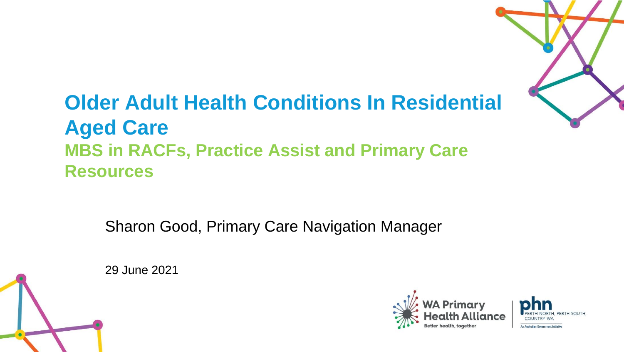# **Older Adult Health Conditions In Residential Aged Care MBS in RACFs, Practice Assist and Primary Care Resources**

Sharon Good, Primary Care Navigation Manager





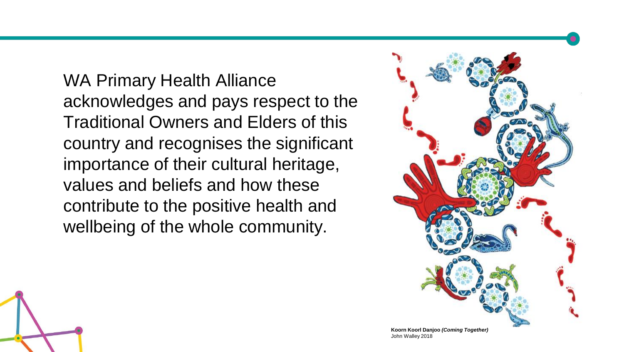WA Primary Health Alliance acknowledges and pays respect to the Traditional Owners and Elders of this country and recognises the significant importance of their cultural heritage, values and beliefs and how these contribute to the positive health and wellbeing of the whole community.



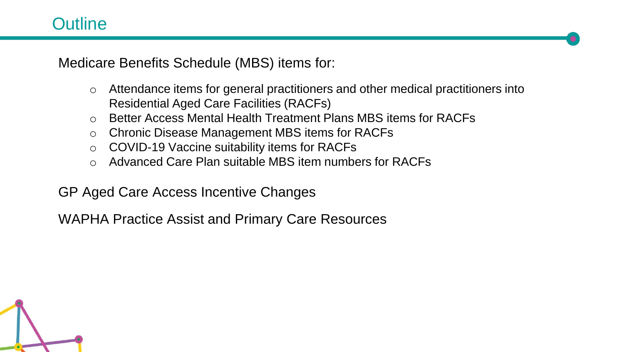### **Outline**

Medicare Benefits Schedule (MBS) items for:

- o Attendance items for general practitioners and other medical practitioners into Residential Aged Care Facilities (RACFs)
- o Better Access Mental Health Treatment Plans MBS items for RACFs
- o Chronic Disease Management MBS items for RACFs
- o COVID-19 Vaccine suitability items for RACFs
- o Advanced Care Plan suitable MBS item numbers for RACFs

GP Aged Care Access Incentive Changes

WAPHA Practice Assist and Primary Care Resources

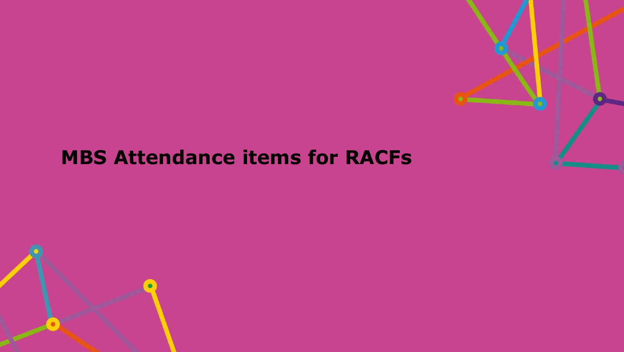

# **MBS Attendance items for RACFs**

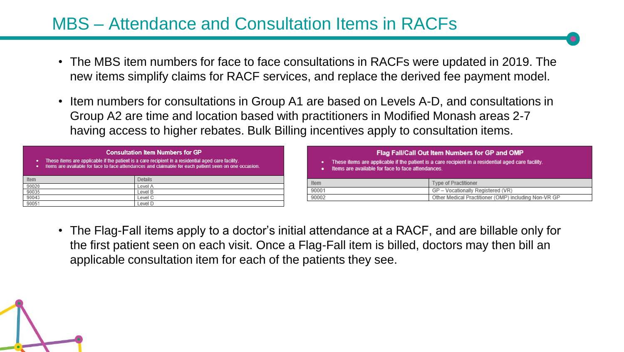# MBS – Attendance and Consultation Items in RACFs

- The MBS item numbers for face to face consultations in RACFs were updated in 2019. The new items simplify claims for RACF services, and replace the derived fee payment model.
- Item numbers for consultations in Group A1 are based on Levels A-D, and consultations in Group A2 are time and location based with practitioners in Modified Monash areas 2-7 having access to higher rebates. Bulk Billing incentives apply to consultation items.

care facility

cludina Non-VR GF

|       | <b>Consultation Item Numbers for GP</b><br>These items are applicable if the patient is a care recipient in a residential aged care facility.<br>Items are available for face to face attendances and claimable for each patient seen on one occasion. |         |       | Items are available for face to face attendances. | Flag Fall/Call Out Item Numbers for GP and (<br>These items are applicable if the patient is a care recipient in a residential age |
|-------|--------------------------------------------------------------------------------------------------------------------------------------------------------------------------------------------------------------------------------------------------------|---------|-------|---------------------------------------------------|------------------------------------------------------------------------------------------------------------------------------------|
| Item  |                                                                                                                                                                                                                                                        | Details | Item  |                                                   | <b>Type of Practitioner</b>                                                                                                        |
| 90020 |                                                                                                                                                                                                                                                        | Level A |       |                                                   |                                                                                                                                    |
| 90035 |                                                                                                                                                                                                                                                        | Level B | 90001 |                                                   | GP - Vocationally Registered (VR)                                                                                                  |
| 90043 |                                                                                                                                                                                                                                                        | Level C | 90002 |                                                   | Other Medical Practitioner (OMP) i                                                                                                 |
| 90051 |                                                                                                                                                                                                                                                        | Level D |       |                                                   |                                                                                                                                    |

• The Flag-Fall items apply to a doctor's initial attendance at a RACF, and are billable only for the first patient seen on each visit. Once a Flag-Fall item is billed, doctors may then bill an applicable consultation item for each of the patients they see.

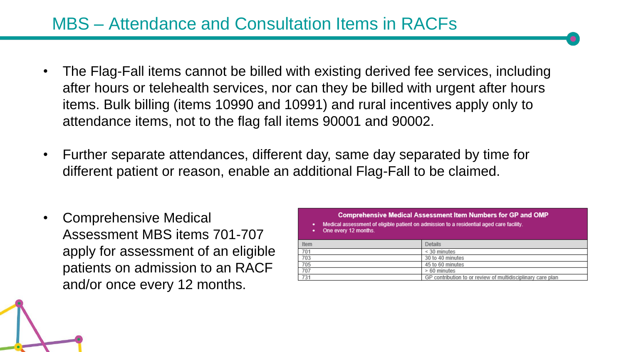# MBS – Attendance and Consultation Items in RACFs

- The Flag-Fall items cannot be billed with existing derived fee services, including after hours or telehealth services, nor can they be billed with urgent after hours items. Bulk billing (items 10990 and 10991) and rural incentives apply only to attendance items, not to the flag fall items 90001 and 90002.
- Further separate attendances, different day, same day separated by time for different patient or reason, enable an additional Flag-Fall to be claimed.
- Comprehensive Medical Assessment MBS items 701-707 apply for assessment of an eligible patients on admission to an RACF and/or once every 12 months.

| Comprehensive Medical Assessment Item Numbers for GP and OMP<br>Medical assessment of eligible patient on admission to a residential aged care facility.<br>۰<br>One every 12 months. |                                                             |  |  |  |  |  |  |
|---------------------------------------------------------------------------------------------------------------------------------------------------------------------------------------|-------------------------------------------------------------|--|--|--|--|--|--|
| Item                                                                                                                                                                                  | <b>Details</b>                                              |  |  |  |  |  |  |
| 701                                                                                                                                                                                   | $<$ 30 minutes                                              |  |  |  |  |  |  |
| 703                                                                                                                                                                                   | 30 to 40 minutes                                            |  |  |  |  |  |  |
| 705                                                                                                                                                                                   | 45 to 60 minutes                                            |  |  |  |  |  |  |
| 707                                                                                                                                                                                   | > 60 minutes                                                |  |  |  |  |  |  |
| 731                                                                                                                                                                                   | GP contribution to or review of multidisciplinary care plan |  |  |  |  |  |  |

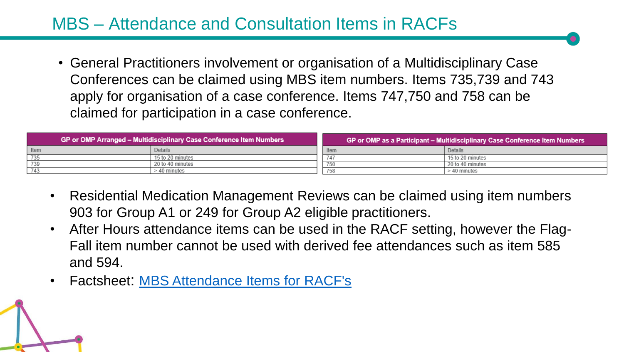# MBS – Attendance and Consultation Items in RACFs

• General Practitioners involvement or organisation of a Multidisciplinary Case Conferences can be claimed using MBS item numbers. Items 735,739 and 743 apply for organisation of a case conference. Items 747,750 and 758 can be claimed for participation in a case conference.

|      | GP or OMP Arranged – Multidisciplinary Case Conference Item Numbers | 「GP or OMP as a Participant – Multidisciplinary Case Conference Item Numbers, |                  |  |  |
|------|---------------------------------------------------------------------|-------------------------------------------------------------------------------|------------------|--|--|
| Item | <b>Details</b>                                                      | I Item                                                                        | Details          |  |  |
|      | 15 to 20 minutes                                                    |                                                                               | 15 to 20 minutes |  |  |
|      | 20 to 40 minutes                                                    | 750                                                                           | 20 to 40 minutes |  |  |
|      | - 40 minutes                                                        |                                                                               | $>40$ minutes    |  |  |

- Residential Medication Management Reviews can be claimed using item numbers 903 for Group A1 or 249 for Group A2 eligible practitioners.
- After Hours attendance items can be used in the RACF setting, however the Flag-Fall item number cannot be used with derived fee attendances such as item 585 and 594.
- Factsheet: [MBS Attendance Items for RACF's](https://www.practiceassist.com.au/PracticeAssist/media/ResourceLibrary/Medicare%20Benefits%20Schedule/MBS-Attendance-Items-in-RACFs-Fact-Sheet-210114.pdf)

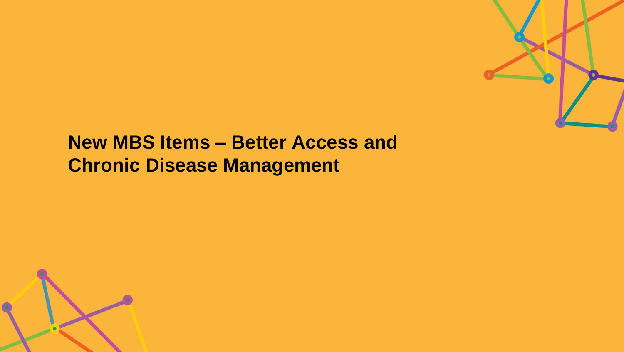

# **New MBS Items – Better Access and Chronic Disease Management**

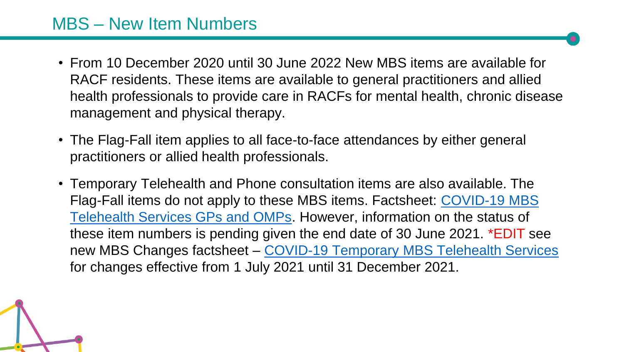# MBS – New Item Numbers

- From 10 December 2020 until 30 June 2022 New MBS items are available for RACF residents. These items are available to general practitioners and allied health professionals to provide care in RACFs for mental health, chronic disease management and physical therapy.
- The Flag-Fall item applies to all face-to-face attendances by either general practitioners or allied health professionals.
- Temporary Telehealth and Phone consultation items are also available. The Flag-Fall items do not apply to these MBS items. Factsheet: COVID-19 MBS [Telehealth Services GPs and OMPs. However, information on the status of](https://www.practiceassist.com.au/PracticeAssist/media/ResourceLibrary/201001-Medicare_MBS-COVID-19-Telehealth-Services-GPs-OMPs.pdf)  these item numbers is pending given the end date of 30 June 2021. \*EDIT see new MBS Changes factsheet – [COVID-19 Temporary MBS Telehealth Services](https://www.practiceassist.com.au/PracticeAssist/media/ResourceLibrary/Factsheet-COVID-19-GPsOMP-Post-1July2021.pdf)  for changes effective from 1 July 2021 until 31 December 2021.

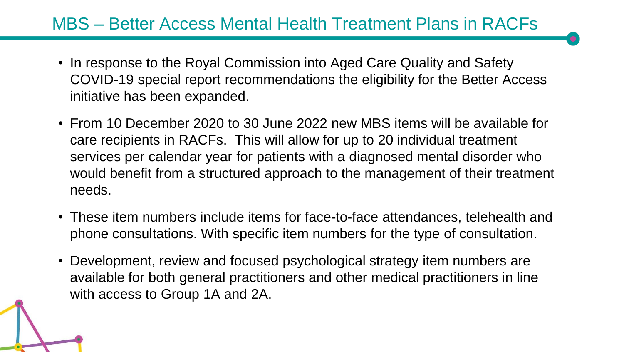#### MBS – Better Access Mental Health Treatment Plans in RACFs

- In response to the Royal Commission into Aged Care Quality and Safety COVID-19 special report recommendations the eligibility for the Better Access initiative has been expanded.
- From 10 December 2020 to 30 June 2022 new MBS items will be available for care recipients in RACFs. This will allow for up to 20 individual treatment services per calendar year for patients with a diagnosed mental disorder who would benefit from a structured approach to the management of their treatment needs.
- These item numbers include items for face-to-face attendances, telehealth and phone consultations. With specific item numbers for the type of consultation.
- Development, review and focused psychological strategy item numbers are available for both general practitioners and other medical practitioners in line with access to Group 1A and 2A.

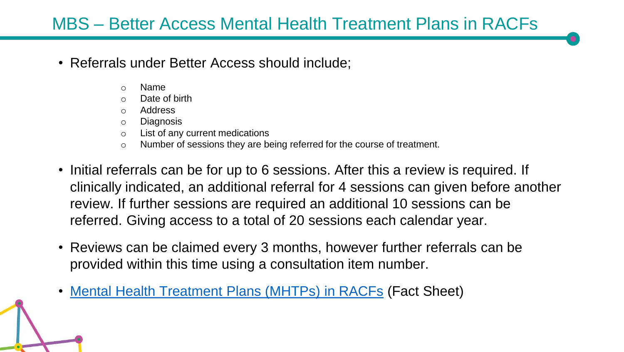# MBS – Better Access Mental Health Treatment Plans in RACFs

- Referrals under Better Access should include;
	- o Name
	- Date of birth
	- o Address
	- o Diagnosis
	- o List of any current medications
	- o Number of sessions they are being referred for the course of treatment.
- Initial referrals can be for up to 6 sessions. After this a review is required. If clinically indicated, an additional referral for 4 sessions can given before another review. If further sessions are required an additional 10 sessions can be referred. Giving access to a total of 20 sessions each calendar year.
- Reviews can be claimed every 3 months, however further referrals can be provided within this time using a consultation item number.
- [Mental Health Treatment Plans \(MHTPs\) in RACFs](https://www.practiceassist.com.au/PracticeAssist/media/ResourceLibrary/Medicare%20Benefits%20Schedule/MHTPs-in-RACFs-Fact-Sheet-V2-210114.pdf) (Fact Sheet)

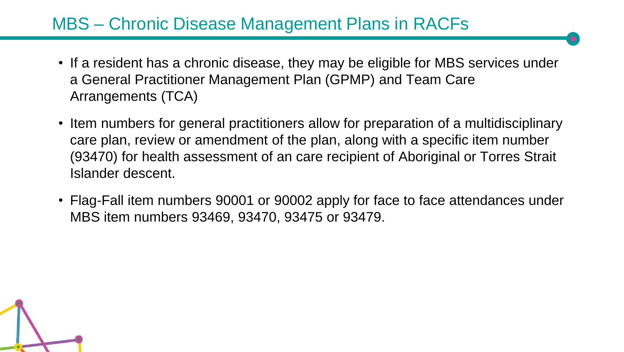# MBS – Chronic Disease Management Plans in RACFs

- If a resident has a chronic disease, they may be eligible for MBS services under a General Practitioner Management Plan (GPMP) and Team Care Arrangements (TCA)
- Item numbers for general practitioners allow for preparation of a multidisciplinary care plan, review or amendment of the plan, along with a specific item number (93470) for health assessment of an care recipient of Aboriginal or Torres Strait Islander descent.
- Flag-Fall item numbers 90001 or 90002 apply for face to face attendances under MBS item numbers 93469, 93470, 93475 or 93479.

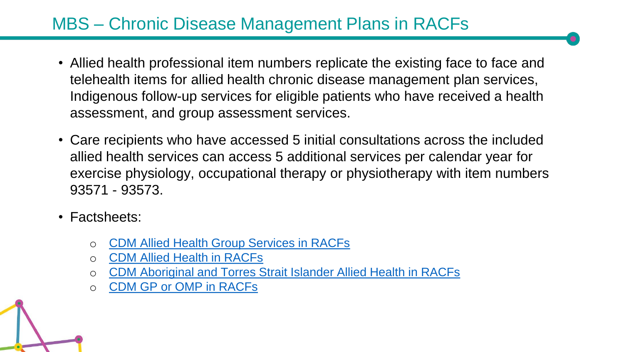# MBS – Chronic Disease Management Plans in RACFs

- Allied health professional item numbers replicate the existing face to face and telehealth items for allied health chronic disease management plan services, Indigenous follow-up services for eligible patients who have received a health assessment, and group assessment services.
- Care recipients who have accessed 5 initial consultations across the included allied health services can access 5 additional services per calendar year for exercise physiology, occupational therapy or physiotherapy with item numbers 93571 - 93573.
- Factsheets:
	- o [CDM Allied Health Group Services in RACFs](https://www.practiceassist.com.au/PracticeAssist/media/ResourceLibrary/Medicare%20Benefits%20Schedule/CDM-Allied-Health-Group-Services-in-RACFs-Fact-Sheet-V1-201222.pdf)
	- o [CDM Allied Health in RACFs](https://www.practiceassist.com.au/PracticeAssist/media/ResourceLibrary/Medicare%20Benefits%20Schedule/CDM-Allied-Health-in-RACFs-Fact-Sheet-V1-201222.pdf)
	- o [CDM Aboriginal and Torres Strait Islander Allied Health in RACFs](https://www.practiceassist.com.au/PracticeAssist/media/ResourceLibrary/Medicare%20Benefits%20Schedule/CDM-ATSI-Allied-Health-in-RACFs-Fact-Sheet-V1-201222.pdf)
	- [CDM GP or OMP in RACFs](https://www.practiceassist.com.au/PracticeAssist/media/ResourceLibrary/Medicare%20Benefits%20Schedule/CDM-GP-or-OMP-in-RACFs-Fact-Sheet-V2-210114.pdf)

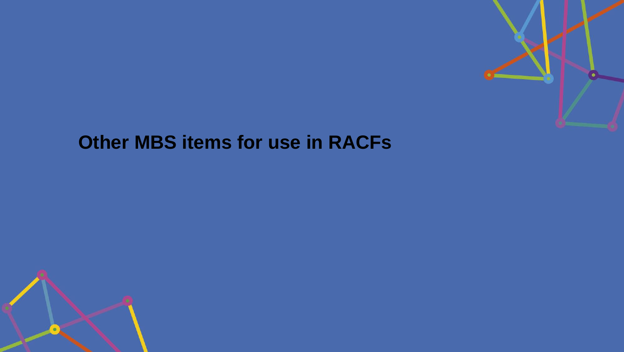# **Other MBS items for use in RACFs**

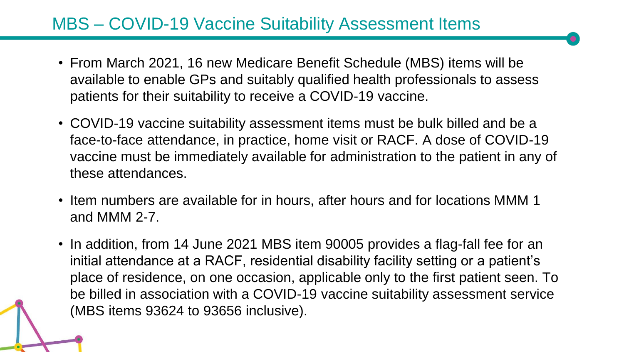# MBS – COVID-19 Vaccine Suitability Assessment Items

- From March 2021, 16 new Medicare Benefit Schedule (MBS) items will be available to enable GPs and suitably qualified health professionals to assess patients for their suitability to receive a COVID-19 vaccine.
- COVID-19 vaccine suitability assessment items must be bulk billed and be a face-to-face attendance, in practice, home visit or RACF. A dose of COVID-19 vaccine must be immediately available for administration to the patient in any of these attendances.
- Item numbers are available for in hours, after hours and for locations MMM 1 and MMM 2-7.
- In addition, from 14 June 2021 MBS item 90005 provides a flag-fall fee for an initial attendance at a RACF, residential disability facility setting or a patient's place of residence, on one occasion, applicable only to the first patient seen. To be billed in association with a COVID-19 vaccine suitability assessment service (MBS items 93624 to 93656 inclusive).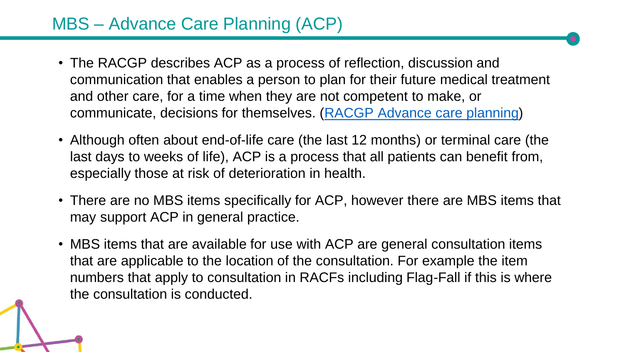# MBS – Advance Care Planning (ACP)

- The RACGP describes ACP as a process of reflection, discussion and communication that enables a person to plan for their future medical treatment and other care, for a time when they are not competent to make, or communicate, decisions for themselves. [\(RACGP Advance care planning](https://www.racgp.org.au/running-a-practice/practice-resources/practice-tools/advance-care-planning))
- Although often about end-of-life care (the last 12 months) or terminal care (the last days to weeks of life), ACP is a process that all patients can benefit from, especially those at risk of deterioration in health.
- There are no MBS items specifically for ACP, however there are MBS items that may support ACP in general practice.
- MBS items that are available for use with ACP are general consultation items that are applicable to the location of the consultation. For example the item numbers that apply to consultation in RACFs including Flag-Fall if this is where the consultation is conducted.

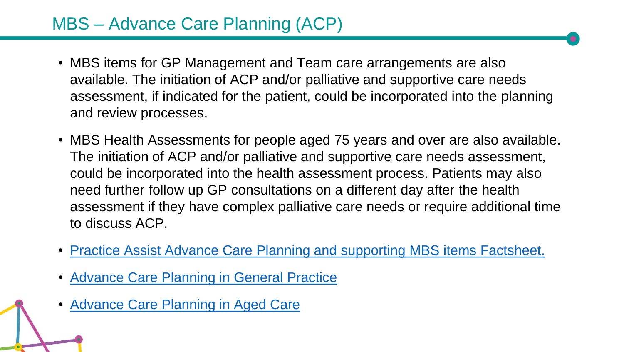# MBS – Advance Care Planning (ACP)

- MBS items for GP Management and Team care arrangements are also available. The initiation of ACP and/or palliative and supportive care needs assessment, if indicated for the patient, could be incorporated into the planning and review processes.
- MBS Health Assessments for people aged 75 years and over are also available. The initiation of ACP and/or palliative and supportive care needs assessment, could be incorporated into the health assessment process. Patients may also need further follow up GP consultations on a different day after the health assessment if they have complex palliative care needs or require additional time to discuss ACP.
- [Practice Assist Advance Care Planning and supporting MBS items Factsheet.](https://www.practiceassist.com.au/PracticeAssist/media/ResourceLibrary/Medicare%20Benefits%20Schedule/Advance-Care-Planning-Fact-Sheet-V1-210514.pdf)
- [Advance Care Planning in General Practice](https://www.advancecareplanning.org.au/understand-advance-care-planning/advance-care-planning-in-specific-health-settings/advance-care-planning-in-general-practice)
- [Advance Care Planning in Aged Care](https://www.advancecareplanning.org.au/understand-advance-care-planning/advance-care-planning-in-specific-health-settings/advance-care-planning-and-aged-care)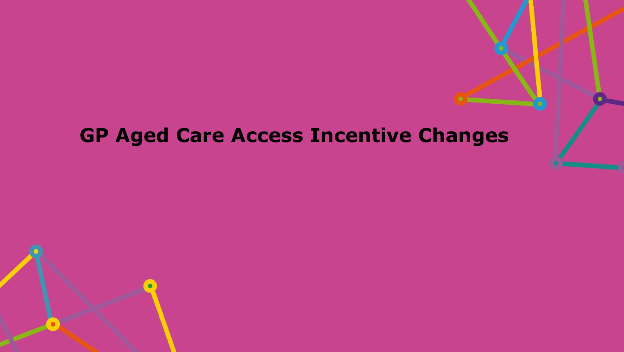# **GP Aged Care Access Incentive Changes**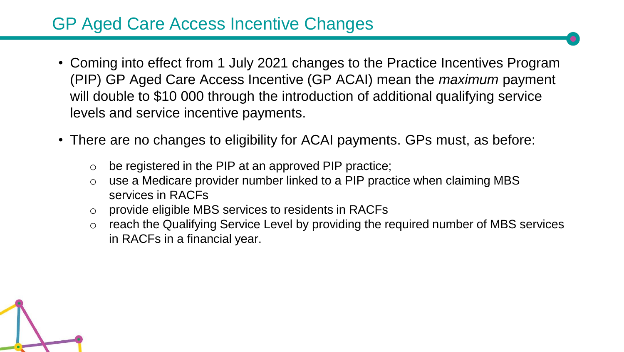# GP Aged Care Access Incentive Changes

- Coming into effect from 1 July 2021 changes to the Practice Incentives Program (PIP) GP Aged Care Access Incentive (GP ACAI) mean the *maximum* payment will double to \$10 000 through the introduction of additional qualifying service levels and service incentive payments.
- There are no changes to eligibility for ACAI payments. GPs must, as before:
	- $\circ$  be registered in the PIP at an approved PIP practice:
	- o use a Medicare provider number linked to a PIP practice when claiming MBS services in RACFs
	- o provide eligible MBS services to residents in RACFs
	- o reach the Qualifying Service Level by providing the required number of MBS services in RACFs in a financial year.

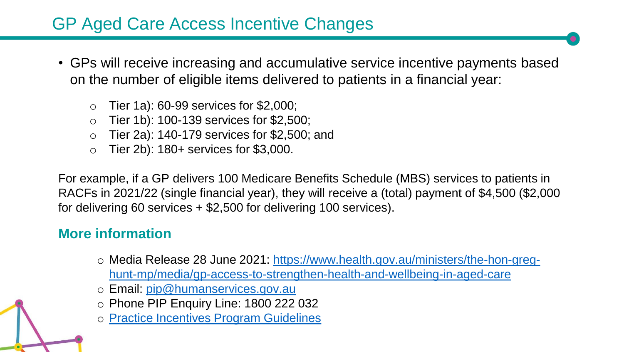# GP Aged Care Access Incentive Changes

- GPs will receive increasing and accumulative service incentive payments based on the number of eligible items delivered to patients in a financial year:
	- $\circ$  Tier 1a): 60-99 services for \$2,000;
	- $\circ$  Tier 1b): 100-139 services for \$2,500;
	- o Tier 2a): 140-179 services for \$2,500; and
	- Tier 2b): 180+ services for \$3,000.

For example, if a GP delivers 100 Medicare Benefits Schedule (MBS) services to patients in RACFs in 2021/22 (single financial year), they will receive a (total) payment of \$4,500 (\$2,000 for delivering 60 services + \$2,500 for delivering 100 services).

#### **More information**

- o [Media Release 28 June 2021: https://www.health.gov.au/ministers/the-hon-greg](https://www.health.gov.au/ministers/the-hon-greg-hunt-mp/media/gp-access-to-strengthen-health-and-wellbeing-in-aged-care)hunt-mp/media/gp-access-to-strengthen-health-and-wellbeing-in-aged-care
- o Email: [pip@humanservices.gov.au](mailto:pip@humanservices.gov.au)
- o Phone PIP Enquiry Line: 1800 222 032
- o [Practice Incentives Program Guidelines](https://www.servicesaustralia.gov.au/organisations/health-professionals/services/medicare/practice-incentives-program)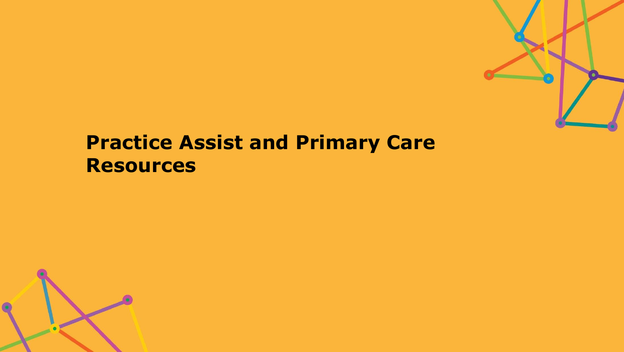

# **Practice Assist and Primary Care Resources**

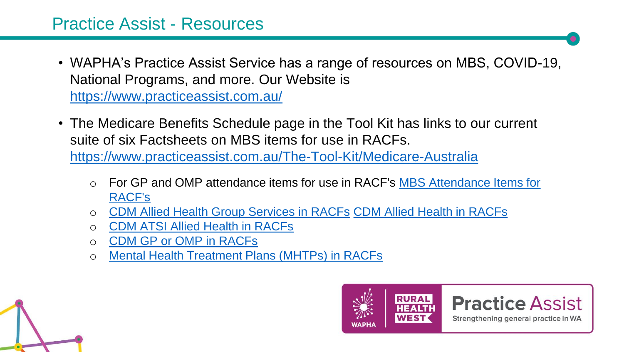- WAPHA's Practice Assist Service has a range of resources on MBS, COVID-19, National Programs, and more. Our Website is <https://www.practiceassist.com.au/>
- The Medicare Benefits Schedule page in the Tool Kit has links to our current suite of six Factsheets on MBS items for use in RACFs. <https://www.practiceassist.com.au/The-Tool-Kit/Medicare-Australia>
	- o [For GP and OMP attendance items for use in RACF's](https://www.practiceassist.com.au/PracticeAssist/media/ResourceLibrary/Medicare%20Benefits%20Schedule/MBS-Attendance-Items-in-RACFs-Fact-Sheet-210114.pdf) MBS Attendance Items for RACF's
	- o [CDM Allied Health Group Services in RACFs](https://www.practiceassist.com.au/PracticeAssist/media/ResourceLibrary/Medicare%20Benefits%20Schedule/CDM-Allied-Health-Group-Services-in-RACFs-Fact-Sheet-V1-201222.pdf) [CDM Allied Health in RACFs](https://www.practiceassist.com.au/PracticeAssist/media/ResourceLibrary/Medicare%20Benefits%20Schedule/CDM-Allied-Health-in-RACFs-Fact-Sheet-V1-201222.pdf)
	- **[CDM ATSI Allied Health in RACFs](https://www.practiceassist.com.au/PracticeAssist/media/ResourceLibrary/Medicare%20Benefits%20Schedule/CDM-ATSI-Allied-Health-in-RACFs-Fact-Sheet-V1-201222.pdf)**
	- o [CDM GP or OMP in RACFs](https://www.practiceassist.com.au/PracticeAssist/media/ResourceLibrary/Medicare%20Benefits%20Schedule/CDM-GP-or-OMP-in-RACFs-Fact-Sheet-V2-210114.pdf)
	- o [Mental Health Treatment Plans \(MHTPs\) in RACFs](https://www.practiceassist.com.au/PracticeAssist/media/ResourceLibrary/Medicare%20Benefits%20Schedule/MHTPs-in-RACFs-Fact-Sheet-V2-210114.pdf)



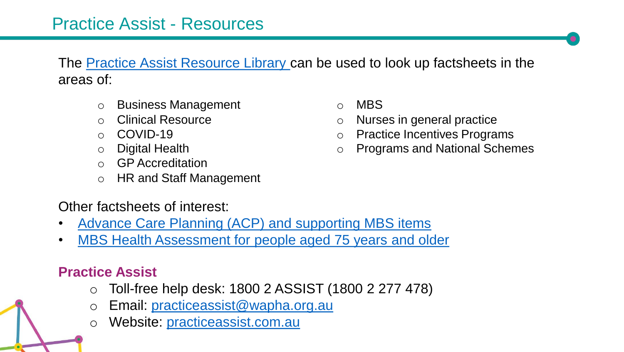The [Practice Assist Resource Library c](https://www.practiceassist.com.au/Resource-Library)an be used to look up factsheets in the areas of:

- o Business Management
- o Clinical Resource
- o COVID-19
- o Digital Health
- o GP Accreditation
- o HR and Staff Management

Other factsheets of interest:

- [Advance Care Planning \(ACP\) and supporting MBS items](https://www.practiceassist.com.au/PracticeAssist/media/ResourceLibrary/Medicare%20Benefits%20Schedule/Advance-Care-Planning-Fact-Sheet-V1-210514.pdf)
- [MBS Health Assessment for people aged 75 years and older](https://www.practiceassist.com.au/PracticeAssist/media/ResourceLibrary/Medicare%20Benefits%20Schedule/MBS-Health-Assessments-for-people-75-and-over-V2.pdf)

#### **Practice Assist**

- o Toll-free help desk: 1800 2 ASSIST (1800 2 277 478)
- Email: practiceassist@wapha.org.au
- o Website: [practiceassist.com.au](https://www.practiceassist.com.au/)
- o MBS
- o Nurses in general practice
- o Practice Incentives Programs
- o Programs and National Schemes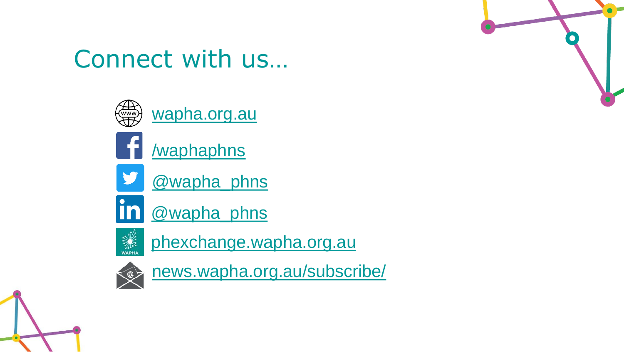

# Connect with us…



[wapha.org.au](https://www.wapha.org.au/)



[/waphaphns](https://www.facebook.com/waphaphns/)



[@wapha\\_phns](https://twitter.com/wapha_phns)



[@wapha\\_phns](https://au.linkedin.com/company/wapha)



[phexchange.wapha.org.au](https://phexchange.wapha.org.au/)



news.wapha.org.[au](http://www.news.wapha.org.au/)/subscribe/